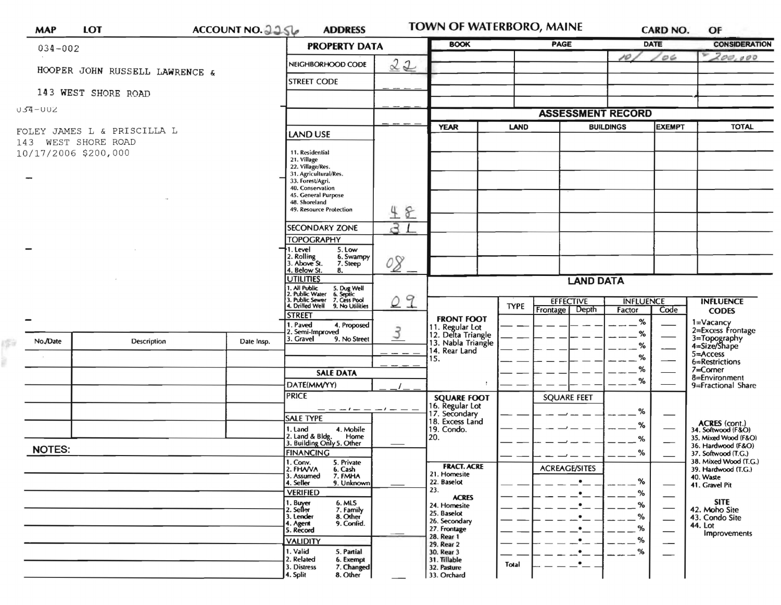|     | <b>MAP</b>    | <b>LOT</b>                     | ACCOUNT NO. 2256                                             | <b>ADDRESS</b>                                                                                                                                             |                                       | TOWN OF WATERBORO, MAINE            |              |                           |                                   | <b>CARD NO.</b>                     | OF                                           |
|-----|---------------|--------------------------------|--------------------------------------------------------------|------------------------------------------------------------------------------------------------------------------------------------------------------------|---------------------------------------|-------------------------------------|--------------|---------------------------|-----------------------------------|-------------------------------------|----------------------------------------------|
|     |               | $034 - 002$                    |                                                              | <b>PROPERTY DATA</b>                                                                                                                                       |                                       | <b>BOOK</b>                         |              | PAGE                      | <b>DATE</b>                       |                                     | <b>CONSIDERATION</b>                         |
|     |               |                                |                                                              | NEIGHBORHOOD CODE                                                                                                                                          | 22                                    |                                     |              |                           | 10                                | O6                                  | 200,000                                      |
|     |               | HOOPER JOHN RUSSELL LAWRENCE & |                                                              | <b>STREET CODE</b>                                                                                                                                         |                                       |                                     |              |                           |                                   |                                     |                                              |
|     |               | 143 WEST SHORE ROAD            |                                                              |                                                                                                                                                            |                                       |                                     |              |                           |                                   |                                     |                                              |
|     | $U54-UUZ$     |                                |                                                              |                                                                                                                                                            |                                       |                                     |              | <b>ASSESSMENT RECORD</b>  |                                   |                                     |                                              |
|     |               | FOLEY JAMES L & PRISCILLA L    |                                                              | <b>LAND USE</b>                                                                                                                                            |                                       | <b>YEAR</b><br><b>LAND</b>          |              |                           | <b>BUILDINGS</b><br><b>EXEMPT</b> |                                     | <b>TOTAL</b>                                 |
| 143 |               | WEST SHORE ROAD                |                                                              |                                                                                                                                                            |                                       |                                     |              |                           |                                   |                                     |                                              |
|     |               | 10/17/2006 \$200,000           |                                                              | 11. Residential<br>21. Village                                                                                                                             |                                       |                                     |              |                           |                                   |                                     |                                              |
|     |               |                                |                                                              | 22. Village/Res.<br>31. Agricultural/Res.<br>33. Forest/Agri.<br>40. Conservation<br>45. General Purpose<br>48. Shoreland<br>49. Resource Protection<br>48 |                                       |                                     |              |                           |                                   |                                     |                                              |
|     |               |                                |                                                              |                                                                                                                                                            |                                       |                                     |              |                           |                                   |                                     |                                              |
|     |               |                                |                                                              |                                                                                                                                                            |                                       |                                     |              |                           |                                   |                                     |                                              |
|     |               |                                |                                                              | <b>SECONDARY ZONE</b>                                                                                                                                      | $\overline{5}$                        |                                     |              |                           |                                   |                                     |                                              |
|     |               |                                |                                                              | <b>TOPOGRAPHY</b>                                                                                                                                          |                                       |                                     |              |                           |                                   |                                     |                                              |
|     |               |                                |                                                              | 1. Level<br>5. Low<br>2. Rolling<br>3. Above St.<br>6. Swampy                                                                                              |                                       |                                     |              |                           |                                   |                                     |                                              |
|     |               |                                |                                                              | 7. Steep<br>4. Below St.<br>8.                                                                                                                             | 08                                    |                                     |              |                           |                                   |                                     |                                              |
|     |               |                                |                                                              | <b>UTILITIES</b><br>1. All Public<br>2. Public Water<br>3. Public Sewer                                                                                    |                                       | <b>LAND DATA</b>                    |              |                           |                                   |                                     |                                              |
|     |               |                                |                                                              | 5. Dug Well<br>6. Septic<br>7. Cess Pool<br>4. Drilled Well<br>9. No Utilities                                                                             | 29                                    |                                     | <b>TYPE</b>  | <b>EFFECTIVE</b><br>Depth | <b>INFLUENCE</b>                  |                                     | <b>INFLUENCE</b>                             |
|     |               |                                |                                                              | <b>STREET</b><br>1. Paved                                                                                                                                  |                                       | <b>FRONT FOOT</b>                   |              | Frontage                  | Factor<br>%                       | Code                                | <b>CODES</b><br>1=Vacancy                    |
|     |               |                                | 4. Proposed<br>2. Semi-Improved<br>3. Gravel<br>9. No Street | 3                                                                                                                                                          | 11. Regular Lot<br>12. Delta Triangle |                                     |              | %                         |                                   | 2=Excess Frontage                   |                                              |
|     | No./Date      | Description                    | Date Insp.                                                   |                                                                                                                                                            |                                       | 13. Nabla Triangle<br>14. Rear Land |              |                           | %                                 | ---                                 | 3=Topography<br>4=Size/Shape<br>5=Access     |
|     |               |                                |                                                              | <b>SALE DATA</b>                                                                                                                                           |                                       | 15.                                 |              |                           | %<br>℅                            |                                     | 6=Restrictions<br>$7 =$ Corner               |
|     |               |                                | DATE(MM/YY)                                                  |                                                                                                                                                            | ÷                                     |                                     |              | %                         |                                   | 8=Environment<br>9=Fractional Share |                                              |
|     |               |                                |                                                              | <b>PRICE</b>                                                                                                                                               |                                       | <b>SQUARE FOOT</b>                  |              | <b>SQUARE FEET</b>        |                                   |                                     |                                              |
|     |               |                                |                                                              | <b>SALE TYPE</b>                                                                                                                                           | $-1-$                                 | 16. Regular Lot<br>17. Secondary    |              |                           | %                                 |                                     |                                              |
|     |               |                                |                                                              | 1. Land<br>4. Mobile                                                                                                                                       |                                       | 18. Excess Land<br>19. Condo.       |              |                           | %                                 |                                     | <b>ACRES</b> (cont.)<br>34. Softwood (F&O)   |
|     | <b>NOTES:</b> |                                |                                                              | 2. Land & Bldg.<br>Home<br>3. Building Only 5. Other                                                                                                       |                                       | 20.                                 |              |                           | %                                 |                                     | 35. Mixed Wood (F&O)<br>36. Hardwood (F&O)   |
|     |               |                                |                                                              | <b>FINANCING</b><br>1. Conv.<br>5. Private                                                                                                                 |                                       | <b>FRACT. ACRE</b>                  |              |                           | %                                 |                                     | 37. Softwood (T.G.)<br>38. Mixed Wood (T.G.) |
|     |               |                                |                                                              | 2. FHAVA<br>6. Cash<br>3. Assumed<br>7. FMHA                                                                                                               |                                       | 21. Homesite<br>22. Baselot         |              | <b>ACREAGE/SITES</b>      | %                                 |                                     | 39. Hardwood (T.G.)<br>40. Waste             |
|     |               |                                |                                                              | 4. Seller<br>9. Unknown<br><b>VERIFIED</b>                                                                                                                 |                                       | 23.<br><b>ACRES</b>                 |              |                           | %                                 | $\overbrace{\phantom{aaaaa}}$       | 41. Gravel Pit                               |
|     |               |                                |                                                              | 1. Buyer<br>2. Seller<br>6. MLS<br>7. Family                                                                                                               |                                       | 24. Homesite<br>25. Baselot         |              |                           | %                                 |                                     | <b>SITE</b><br>42. Moho Site                 |
|     |               |                                |                                                              | 8. Other<br>3. Lender<br>9. Confid.<br>4. Agent                                                                                                            |                                       | 26. Secondary<br>27. Frontage       |              |                           | %<br>%                            | $\overline{\phantom{0}}$            | 43. Condo Site<br>44. Lot                    |
|     |               |                                | 5. Record<br><b>VALIDITY</b>                                 |                                                                                                                                                            | 28. Rear 1<br>29. Rear 2              |                                     | %            |                           | $\qquad \qquad \longleftarrow$    | Improvements                        |                                              |
|     |               |                                |                                                              | 1. Valid<br>5. Partial<br>2. Related<br>6. Exempt                                                                                                          |                                       | 30. Rear 3<br>31. Tillable          |              |                           | %                                 | $\hspace{0.05cm}$                   |                                              |
|     |               |                                |                                                              | 3. Distress<br>7. Changed<br>4. Split<br>8. Other                                                                                                          |                                       | 32. Pasture<br>33. Orchard          | <b>Total</b> |                           |                                   |                                     |                                              |

ofia<br>B